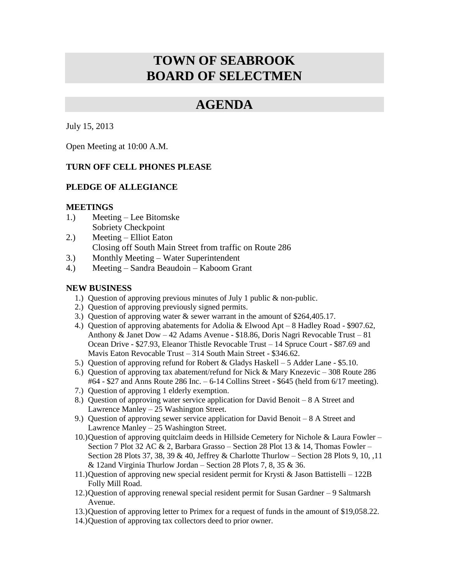# **TOWN OF SEABROOK BOARD OF SELECTMEN**

# **AGENDA**

July 15, 2013

Open Meeting at 10:00 A.M.

# **TURN OFF CELL PHONES PLEASE**

# **PLEDGE OF ALLEGIANCE**

#### **MEETINGS**

- 1.) Meeting Lee Bitomske Sobriety Checkpoint
- 2.) Meeting Elliot Eaton Closing off South Main Street from traffic on Route 286
- 3.) Monthly Meeting Water Superintendent
- 4.) Meeting Sandra Beaudoin Kaboom Grant

# **NEW BUSINESS**

- 1.) Question of approving previous minutes of July 1 public & non-public.
- 2.) Question of approving previously signed permits.
- 3.) Question of approving water & sewer warrant in the amount of \$264,405.17.
- 4.) Question of approving abatements for Adolia & Elwood Apt 8 Hadley Road \$907.62, Anthony & Janet Dow – 42 Adams Avenue - \$18.86, Doris Nagri Revocable Trust – 81 Ocean Drive - \$27.93, Eleanor Thistle Revocable Trust – 14 Spruce Court - \$87.69 and Mavis Eaton Revocable Trust – 314 South Main Street - \$346.62.
- 5.) Question of approving refund for Robert & Gladys Haskell 5 Adder Lane \$5.10.
- 6.) Question of approving tax abatement/refund for Nick & Mary Knezevic 308 Route 286 #64 - \$27 and Anns Route 286 Inc. – 6-14 Collins Street - \$645 (held from 6/17 meeting).
- 7.) Question of approving 1 elderly exemption.
- 8.) Question of approving water service application for David Benoit 8 A Street and Lawrence Manley – 25 Washington Street.
- 9.) Question of approving sewer service application for David Benoit 8 A Street and Lawrence Manley – 25 Washington Street.
- 10.)Question of approving quitclaim deeds in Hillside Cemetery for Nichole & Laura Fowler Section 7 Plot 32 AC & 2, Barbara Grasso – Section 28 Plot 13 & 14, Thomas Fowler – Section 28 Plots 37, 38, 39 & 40, Jeffrey & Charlotte Thurlow – Section 28 Plots 9, 10, ,11 & 12and Virginia Thurlow Jordan – Section 28 Plots 7, 8, 35 & 36.
- 11.)Question of approving new special resident permit for Krysti & Jason Battistelli 122B Folly Mill Road.
- 12.)Question of approving renewal special resident permit for Susan Gardner 9 Saltmarsh Avenue.
- 13.)Question of approving letter to Primex for a request of funds in the amount of \$19,058.22.
- 14.)Question of approving tax collectors deed to prior owner.